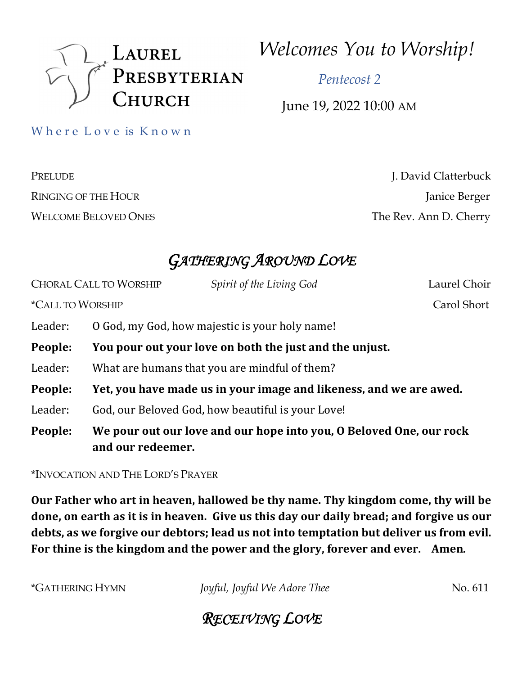

*Welcomes You to Worship!*

 *Pentecost 2*

June 19, 2022 10:00 AM

Where Love is Known

PRELUDE J. David Clatterbuck RINGING OF THE HOUR Janice Berger WELCOME BELOVED ONES The Rev. Ann D. Cherry

# *GATHERING AROUND LOVE*

|                                | <b>CHORAL CALL TO WORSHIP</b>                                                            | Spirit of the Living God                          | Laurel Choir |
|--------------------------------|------------------------------------------------------------------------------------------|---------------------------------------------------|--------------|
| <i><b>*CALL TO WORSHIP</b></i> |                                                                                          |                                                   | Carol Short  |
| Leader:                        | O God, my God, how majestic is your holy name!                                           |                                                   |              |
| People:                        | You pour out your love on both the just and the unjust.                                  |                                                   |              |
| Leader:                        |                                                                                          | What are humans that you are mindful of them?     |              |
| People:                        | Yet, you have made us in your image and likeness, and we are awed.                       |                                                   |              |
| Leader:                        |                                                                                          | God, our Beloved God, how beautiful is your Love! |              |
| People:                        | We pour out our love and our hope into you, O Beloved One, our rock<br>and our redeemer. |                                                   |              |

\*INVOCATION AND THE LORD'S PRAYER

Our Father who art in heaven, hallowed be thy name. Thy kingdom come, thy will be done, on earth as it is in heaven. Give us this day our daily bread; and forgive us our debts, as we forgive our debtors; lead us not into temptation but deliver us from evil. For thine is the kingdom and the power and the glory, forever and ever. Amen.

\*GATHERING HYMN *Joyful, Joyful We Adore Thee* No. 611

# *RECEIVING LOVE*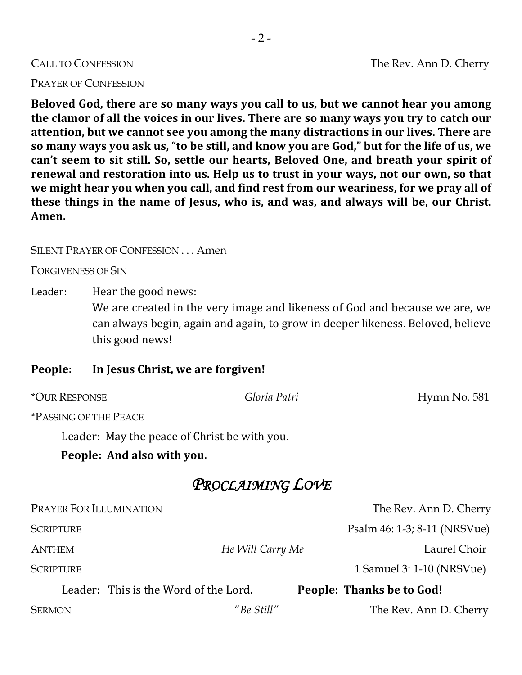#### PRAYER OF CONFESSION

Beloved God, there are so many ways you call to us, but we cannot hear you among the clamor of all the voices in our lives. There are so many ways you try to catch our attention, but we cannot see you among the many distractions in our lives. There are so many ways you ask us, "to be still, and know you are God," but for the life of us, we can't seem to sit still. So, settle our hearts, Beloved One, and breath your spirit of renewal and restoration into us. Help us to trust in your ways, not our own, so that we might hear you when you call, and find rest from our weariness, for we pray all of these things in the name of Jesus, who is, and was, and always will be, our Christ. **Amen.**

#### SILENT PRAYER OF CONFESSION . . . Amen

FORGIVENESS OF SIN

Leader: Hear the good news:

We are created in the very image and likeness of God and because we are, we can always begin, again and again, to grow in deeper likeness. Beloved, believe this good news!

#### People: In Jesus Christ, we are forgiven!

| <i><b>*OUR RESPONSE</b></i>                  | Gloria Patri                          | Hymn No. 581                 |  |  |  |  |  |
|----------------------------------------------|---------------------------------------|------------------------------|--|--|--|--|--|
| <i><b>*PASSING OF THE PEACE</b></i>          |                                       |                              |  |  |  |  |  |
| Leader: May the peace of Christ be with you. |                                       |                              |  |  |  |  |  |
| People: And also with you.                   |                                       |                              |  |  |  |  |  |
| PROCLAIMING LOVE                             |                                       |                              |  |  |  |  |  |
| PRAYER FOR ILLUMINATION                      |                                       | The Rev. Ann D. Cherry       |  |  |  |  |  |
| <b>SCRIPTURE</b>                             |                                       | Psalm 46: 1-3; 8-11 (NRSVue) |  |  |  |  |  |
| <b>ANTHEM</b>                                | He Will Carry Me                      | Laurel Choir                 |  |  |  |  |  |
| <b>SCRIPTURE</b>                             |                                       | 1 Samuel 3: 1-10 (NRSVue)    |  |  |  |  |  |
|                                              | Leader: This is the Word of the Lord. | People: Thanks be to God!    |  |  |  |  |  |
| <b>SERMON</b>                                | "Be Still"                            | The Rev. Ann D. Cherry       |  |  |  |  |  |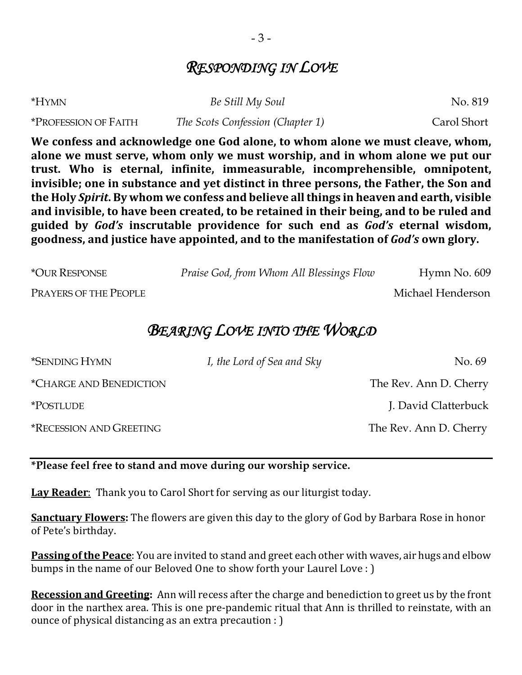# *RESPONDING IN LOVE*

| *HYMN                              | Be Still My Soul                 | No. 819     |
|------------------------------------|----------------------------------|-------------|
| <i><b>*PROFESSION OF FAITH</b></i> | The Scots Confession (Chapter 1) | Carol Short |

We confess and acknowledge one God alone, to whom alone we must cleave, whom, alone we must serve, whom only we must worship, and in whom alone we put our trust. Who is eternal, infinite, immeasurable, incomprehensible, omnipotent, invisible; one in substance and yet distinct in three persons, the Father, the Son and the Holy Spirit. By whom we confess and believe all things in heaven and earth, visible and invisible, to have been created, to be retained in their being, and to be ruled and **guided** by *God's* inscrutable providence for such end as *God's* eternal wisdom, goodness, and justice have appointed, and to the manifestation of *God's* own glory.

| <i><b>*OUR RESPONSE</b></i> | Praise God, from Whom All Blessings Flow | Hymn No. 609      |
|-----------------------------|------------------------------------------|-------------------|
| PRAYERS OF THE PEOPLE       |                                          | Michael Henderson |

## *BEARING LOVE INTO THE WORLD*

| I, the Lord of Sea and Sky | No. 69                 |
|----------------------------|------------------------|
|                            | The Rev. Ann D. Cherry |
|                            | J. David Clatterbuck   |
|                            | The Rev. Ann D. Cherry |
|                            |                        |

### **\*Please feel free to stand and move during our worship service.**

**Lay Reader:** Thank you to Carol Short for serving as our liturgist today.

**Sanctuary Flowers:** The flowers are given this day to the glory of God by Barbara Rose in honor of Pete's birthday.

**Passing of the Peace**: You are invited to stand and greet each other with waves, air hugs and elbow bumps in the name of our Beloved One to show forth your Laurel Love : )

**Recession and Greeting:** Ann will recess after the charge and benediction to greet us by the front door in the narthex area. This is one pre-pandemic ritual that Ann is thrilled to reinstate, with an ounce of physical distancing as an extra precaution : )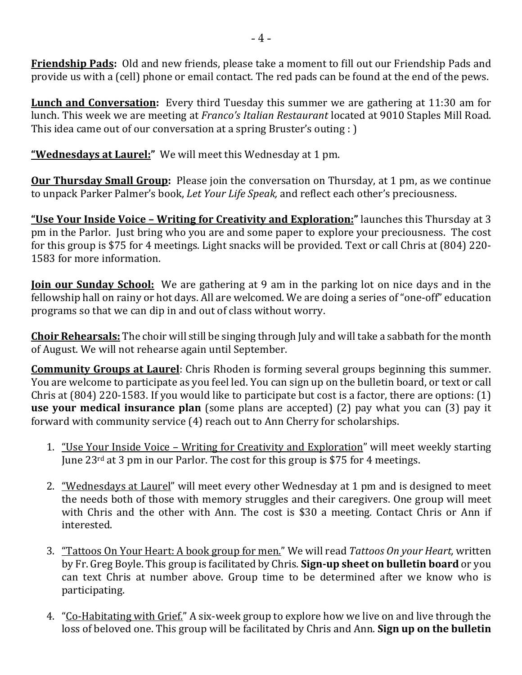**Friendship Pads:** Old and new friends, please take a moment to fill out our Friendship Pads and provide us with a (cell) phone or email contact. The red pads can be found at the end of the pews.

**Lunch and Conversation:** Every third Tuesday this summer we are gathering at 11:30 am for lunch. This week we are meeting at *Franco's Italian Restaurant* located at 9010 Staples Mill Road. This idea came out of our conversation at a spring Bruster's outing : )

**"Wednesdays at Laurel:**" We will meet this Wednesday at 1 pm.

**Our Thursday Small Group:** Please join the conversation on Thursday, at 1 pm, as we continue to unpack Parker Palmer's book, *Let Your Life Speak*, and reflect each other's preciousness.

"Use Your Inside Voice - Writing for Creativity and Exploration:" launches this Thursday at 3 pm in the Parlor. Just bring who you are and some paper to explore your preciousness. The cost for this group is \$75 for 4 meetings. Light snacks will be provided. Text or call Chris at (804) 220-1583 for more information.

**<u>Ioin our Sunday School:</u>** We are gathering at 9 am in the parking lot on nice days and in the fellowship hall on rainy or hot days. All are welcomed. We are doing a series of "one-off" education programs so that we can dip in and out of class without worry.

**Choir Rehearsals:** The choir will still be singing through July and will take a sabbath for the month of August. We will not rehearse again until September.

**Community Groups at Laurel:** Chris Rhoden is forming several groups beginning this summer. You are welcome to participate as you feel led. You can sign up on the bulletin board, or text or call Chris at  $(804)$  220-1583. If you would like to participate but cost is a factor, there are options:  $(1)$ **use your medical insurance plan** (some plans are accepted) (2) pay what you can (3) pay it forward with community service (4) reach out to Ann Cherry for scholarships.

- 1. "Use Your Inside Voice Writing for Creativity and Exploration" will meet weekly starting June  $23^{\text{rd}}$  at 3 pm in our Parlor. The cost for this group is \$75 for 4 meetings.
- 2. "Wednesdays at Laurel" will meet every other Wednesday at 1 pm and is designed to meet the needs both of those with memory struggles and their caregivers. One group will meet with Chris and the other with Ann. The cost is \$30 a meeting. Contact Chris or Ann if interested.
- 3. <u>"Tattoos On Your Heart: A book group for men.</u>" We will read *Tattoos On your Heart,* written by Fr. Greg Boyle. This group is facilitated by Chris. **Sign-up sheet on bulletin board** or you can text Chris at number above. Group time to be determined after we know who is participating.
- 4. "Co-Habitating with Grief." A six-week group to explore how we live on and live through the loss of beloved one. This group will be facilitated by Chris and Ann. **Sign up on the bulletin**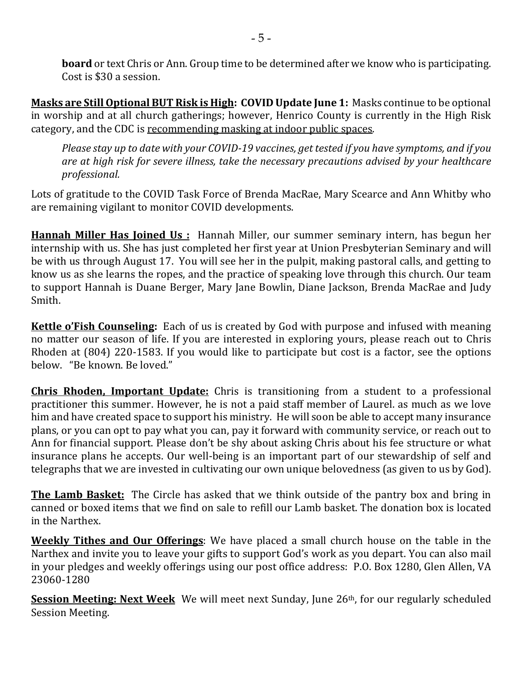**board** or text Chris or Ann. Group time to be determined after we know who is participating. Cost is \$30 a session.

**Masks are Still Optional BUT Risk is High: COVID Update June 1:** Masks continue to be optional in worship and at all church gatherings; however, Henrico County is currently in the High Risk category, and the CDC is recommending masking at indoor public spaces.

*Please stay up to date with your COVID-19 vaccines, get tested if you have symptoms, and if you are at high risk for severe illness, take the necessary precautions advised by your healthcare professional.*

Lots of gratitude to the COVID Task Force of Brenda MacRae, Mary Scearce and Ann Whitby who are remaining vigilant to monitor COVID developments.

**Hannah Miller Has Joined Us**: Hannah Miller, our summer seminary intern, has begun her internship with us. She has just completed her first year at Union Presbyterian Seminary and will be with us through August 17. You will see her in the pulpit, making pastoral calls, and getting to know us as she learns the ropes, and the practice of speaking love through this church. Our team to support Hannah is Duane Berger, Mary Jane Bowlin, Diane Jackson, Brenda MacRae and Judy Smith.

**Kettle o'Fish Counseling:** Each of us is created by God with purpose and infused with meaning no matter our season of life. If you are interested in exploring yours, please reach out to Chris Rhoden at  $(804)$  220-1583. If you would like to participate but cost is a factor, see the options below. "Be known. Be loved."

**Chris Rhoden, Important Update:** Chris is transitioning from a student to a professional practitioner this summer. However, he is not a paid staff member of Laurel, as much as we love him and have created space to support his ministry. He will soon be able to accept many insurance plans, or you can opt to pay what you can, pay it forward with community service, or reach out to Ann for financial support. Please don't be shy about asking Chris about his fee structure or what insurance plans he accepts. Our well-being is an important part of our stewardship of self and telegraphs that we are invested in cultivating our own unique belovedness (as given to us by God).

**The Lamb Basket:** The Circle has asked that we think outside of the pantry box and bring in canned or boxed items that we find on sale to refill our Lamb basket. The donation box is located in the Narthex.

**Weekly Tithes and Our Offerings**: We have placed a small church house on the table in the Narthex and invite you to leave your gifts to support God's work as you depart. You can also mail in your pledges and weekly offerings using our post office address: P.O. Box 1280, Glen Allen, VA 23060-1280

**Session Meeting: Next Week** We will meet next Sunday, June 26<sup>th</sup>, for our regularly scheduled Session Meeting.